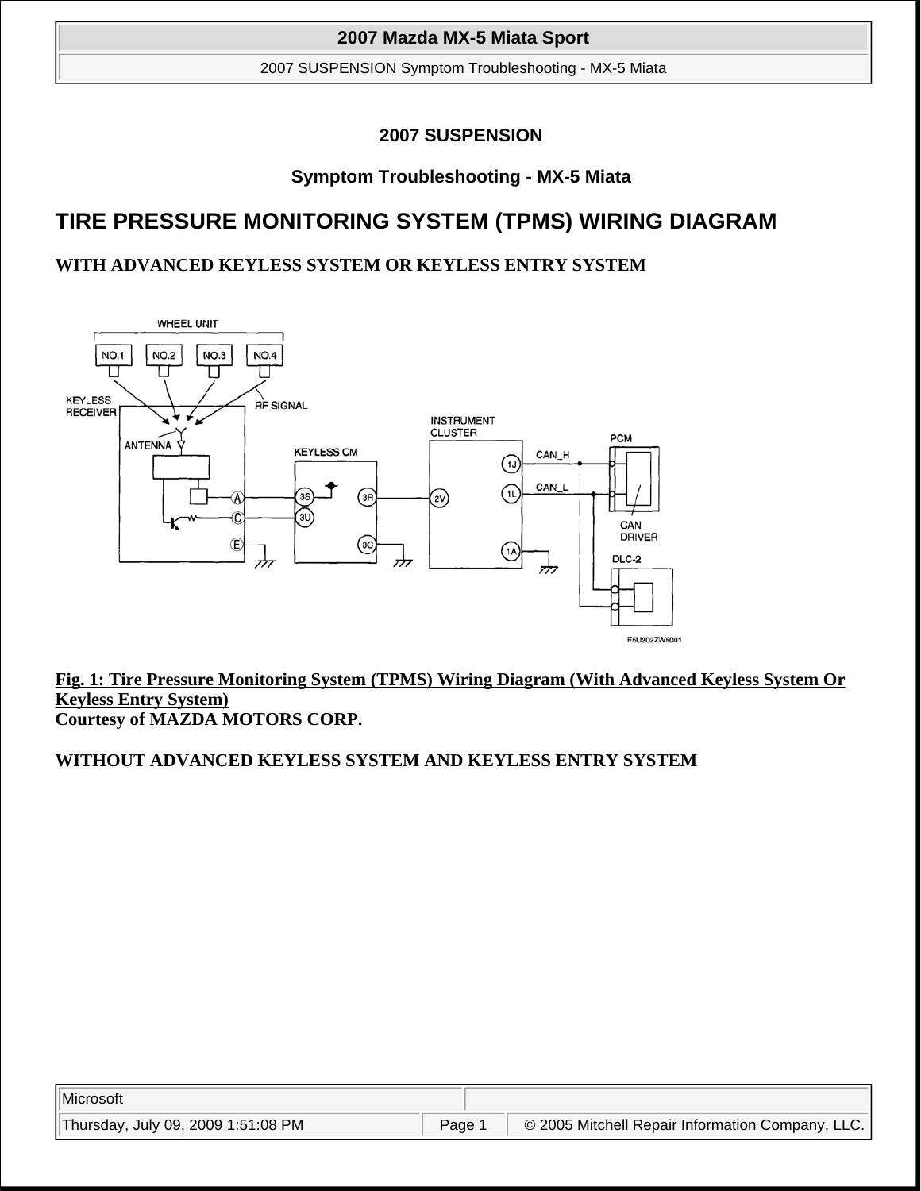2007 SUSPENSION Symptom Troubleshooting - MX-5 Miata

# **2007 SUSPENSION**

# **Symptom Troubleshooting - MX-5 Miata**

# **TIRE PRESSURE MONITORING SYSTEM (TPMS) WIRING DIAGRAM**

# **WITH ADVANCED KEYLESS SYSTEM OR KEYLESS ENTRY SYSTEM**



**Fig. 1: Tire Pressure Monitoring System (TPMS) Wiring Diagram (With Advanced Keyless System Or Keyless Entry System) Courtesy of MAZDA MOTORS CORP.**

# **WITHOUT ADVANCED KEYLESS SYSTEM AND KEYLESS ENTRY SYSTEM**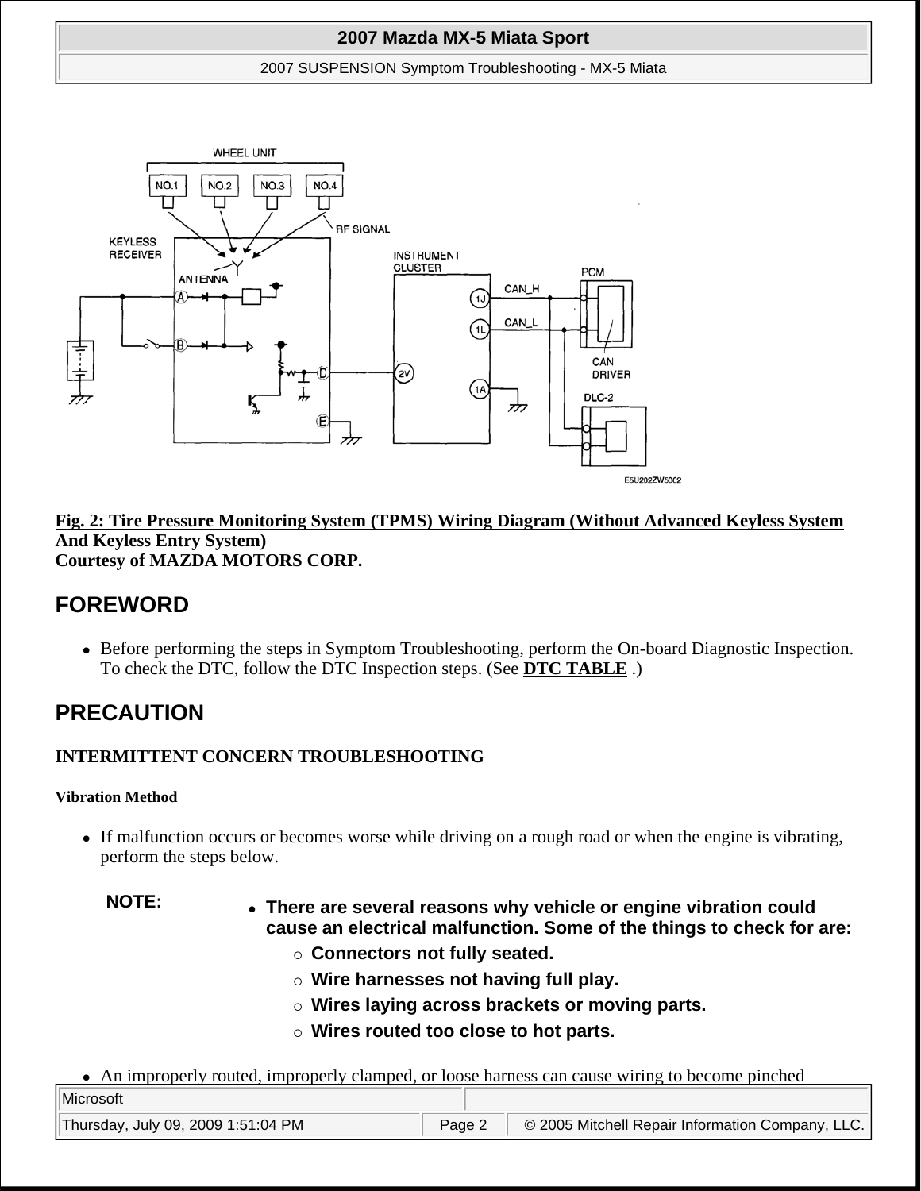2007 SUSPENSION Symptom Troubleshooting - MX-5 Miata



#### **Fig. 2: Tire Pressure Monitoring System (TPMS) Wiring Diagram (Without Advanced Keyless System And Keyless Entry System) Courtesy of MAZDA MOTORS CORP.**

# **FOREWORD**

• Before performing the steps in Symptom Troubleshooting, perform the On-board Diagnostic Inspection. To check the DTC, follow the DTC Inspection steps. (See **DTC TABLE** .)

# **PRECAUTION**

# **INTERMITTENT CONCERN TROUBLESHOOTING**

#### **Vibration Method**

- If malfunction occurs or becomes worse while driving on a rough road or when the engine is vibrating, perform the steps below.
	-
	- **NOTE: There are several reasons why vehicle or engine vibration could cause an electrical malfunction. Some of the things to check for are:** 
		- **Connectors not fully seated.**
		- **Wire harnesses not having full play.**
		- **Wires laying across brackets or moving parts.**
		- **Wires routed too close to hot parts.**
- An improperly routed, improperly clamped, or loose harness can cause wiring to become pinched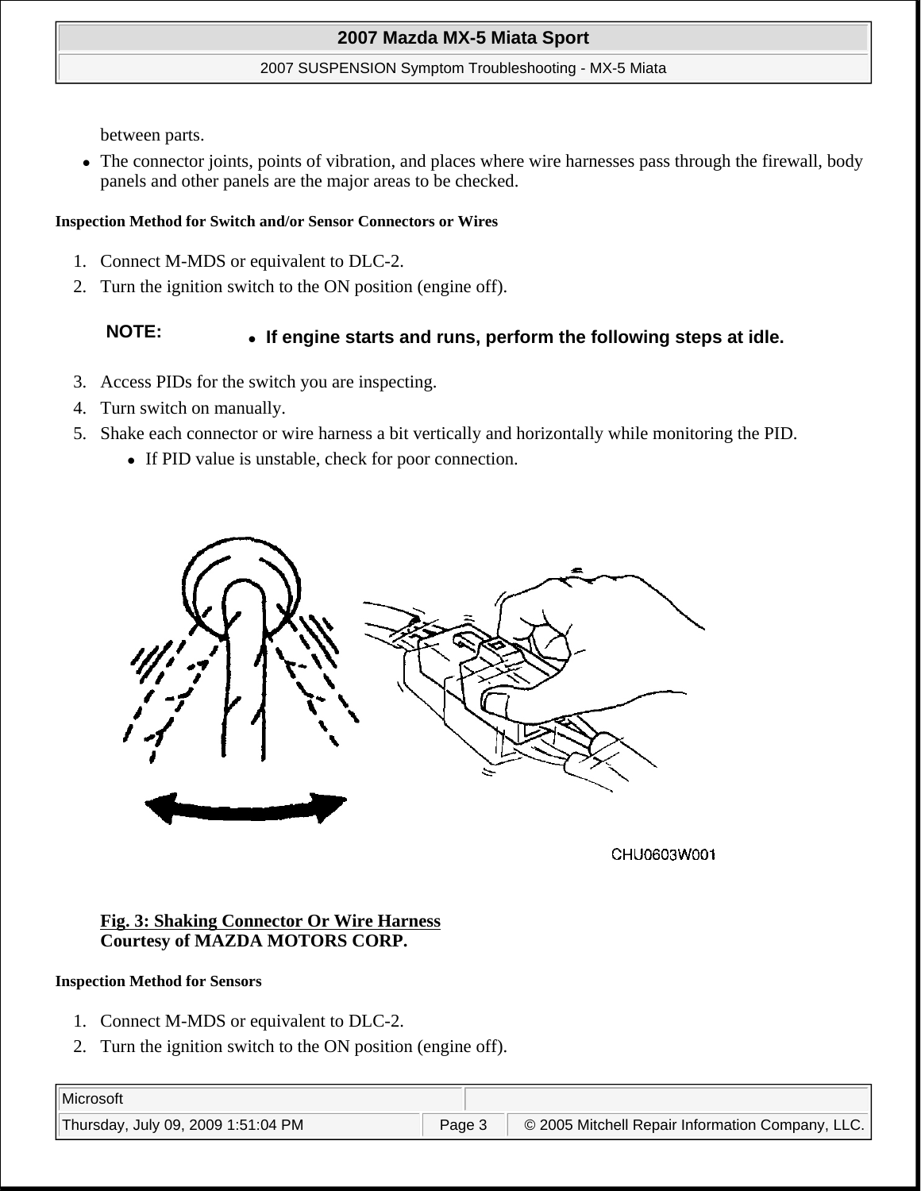#### 2007 SUSPENSION Symptom Troubleshooting - MX-5 Miata

between parts.

 The connector joints, points of vibration, and places where wire harnesses pass through the firewall, body panels and other panels are the major areas to be checked.

#### **Inspection Method for Switch and/or Sensor Connectors or Wires**

- 1. Connect M-MDS or equivalent to DLC-2.
- 2. Turn the ignition switch to the ON position (engine off).

# **NOTE: If engine starts and runs, perform the following steps at idle.**

- 3. Access PIDs for the switch you are inspecting.
- 4. Turn switch on manually.
- 5. Shake each connector or wire harness a bit vertically and horizontally while monitoring the PID.
	- If PID value is unstable, check for poor connection.



CHU0603W001

#### **Fig. 3: Shaking Connector Or Wire Harness Courtesy of MAZDA MOTORS CORP.**

#### **Inspection Method for Sensors**

- 1. Connect M-MDS or equivalent to DLC-2.
- 2. Turn the ignition switch to the ON position (engine off).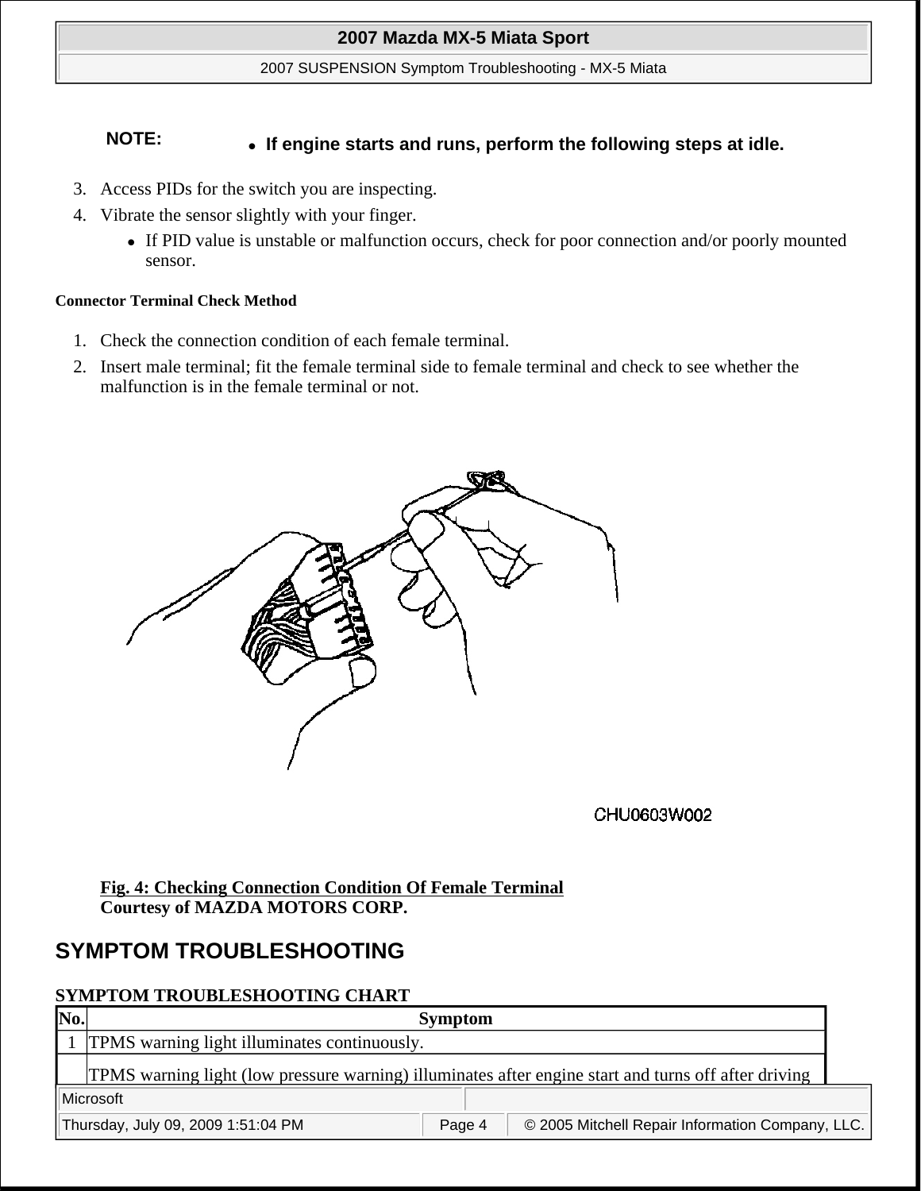2007 SUSPENSION Symptom Troubleshooting - MX-5 Miata

# **NOTE: If engine starts and runs, perform the following steps at idle.**

- 3. Access PIDs for the switch you are inspecting.
- 4. Vibrate the sensor slightly with your finger.
	- If PID value is unstable or malfunction occurs, check for poor connection and/or poorly mounted sensor.

#### **Connector Terminal Check Method**

- 1. Check the connection condition of each female terminal.
- 2. Insert male terminal; fit the female terminal side to female terminal and check to see whether the malfunction is in the female terminal or not.



CHU0603W002

## **Fig. 4: Checking Connection Condition Of Female Terminal Courtesy of MAZDA MOTORS CORP.**

# **SYMPTOM TROUBLESHOOTING**

# **SYMPTOM TROUBLESHOOTING CHART**

| No. | <b>Symptom</b>                                                                                       |
|-----|------------------------------------------------------------------------------------------------------|
|     | 1 TPMS warning light illuminates continuously.                                                       |
|     | TPMS warning light (low pressure warning) illuminates after engine start and turns off after driving |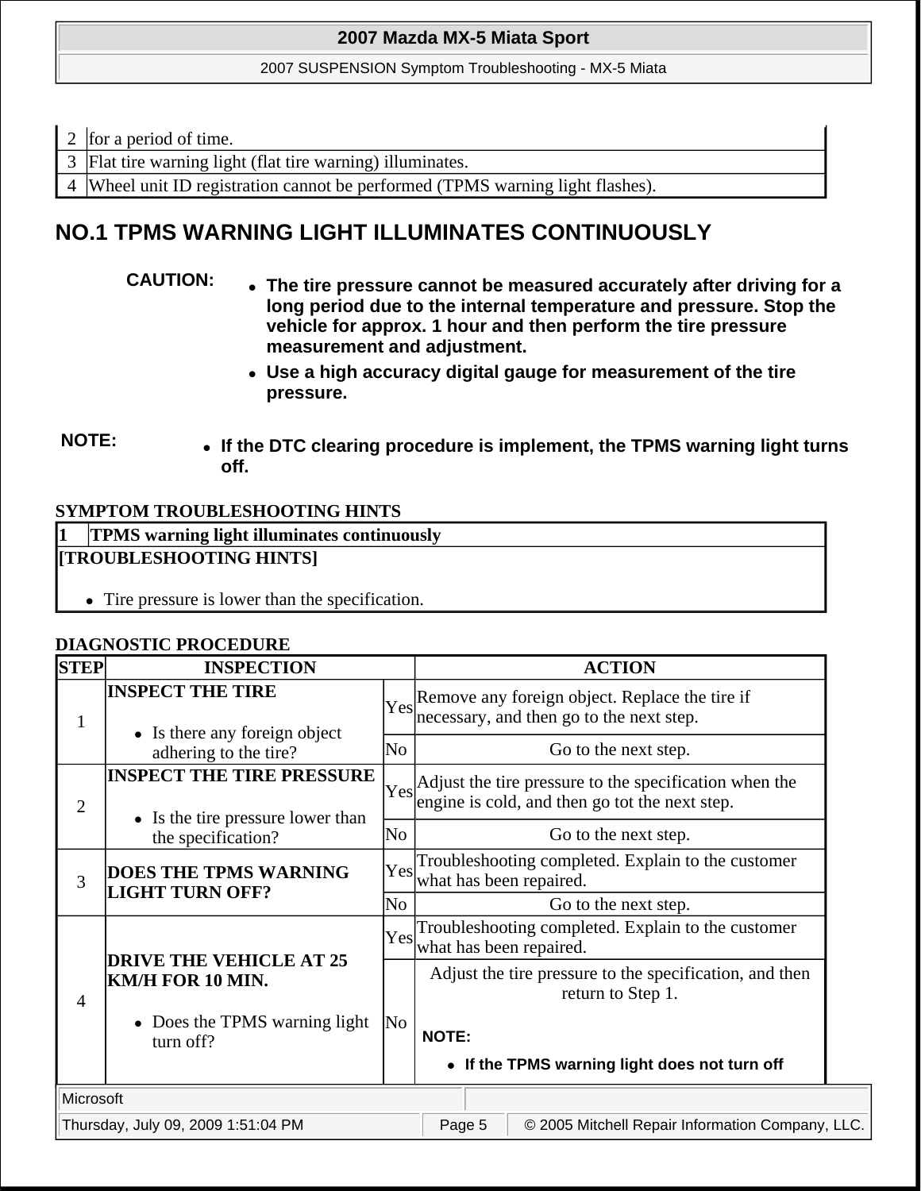2007 SUSPENSION Symptom Troubleshooting - MX-5 Miata

- 2 for a period of time.
- 3 Flat tire warning light (flat tire warning) illuminates.

4 Wheel unit ID registration cannot be performed (TPMS warning light flashes).

# **NO.1 TPMS WARNING LIGHT ILLUMINATES CONTINUOUSLY**

- **CAUTION: The tire pressure cannot be measured accurately after driving for a long period due to the internal temperature and pressure. Stop the vehicle for approx. 1 hour and then perform the tire pressure measurement and adjustment.** 
	- **Use a high accuracy digital gauge for measurement of the tire pressure.**
- **NOTE: If the DTC clearing procedure is implement, the TPMS warning light turns off.**

## **SYMPTOM TROUBLESHOOTING HINTS**

# **1 TPMS warning light illuminates continuously [TROUBLESHOOTING HINTS]** Tire pressure is lower than the specification.

#### **DIAGNOSTIC PROCEDURE**

| <b>STEP</b>    | <b>INSPECTION</b>                                                        |                | <b>ACTION</b>                                                                                                   |
|----------------|--------------------------------------------------------------------------|----------------|-----------------------------------------------------------------------------------------------------------------|
| 1              | <b>INSPECT THE TIRE</b><br>• Is there any foreign object                 |                | $\gamma_{\text{es}}$ Remove any foreign object. Replace the tire if<br>necessary, and then go to the next step. |
|                | adhering to the tire?                                                    | No             | Go to the next step.                                                                                            |
| $\overline{2}$ | <b>INSPECT THE TIRE PRESSURE</b><br>• Is the tire pressure lower than    |                | Yes Adjust the tire pressure to the specification when the engine is cold, and then go tot the next step.       |
|                | the specification?                                                       | N <sub>0</sub> | Go to the next step.                                                                                            |
| 3              | <b>DOES THE TPMS WARNING</b><br><b>LIGHT TURN OFF?</b><br>N <sub>0</sub> |                | Troubleshooting completed. Explain to the customer<br>Yes<br>what has been repaired.                            |
|                |                                                                          |                | Go to the next step.                                                                                            |
|                |                                                                          | Yesl           | Troubleshooting completed. Explain to the customer<br>what has been repaired.                                   |
| $\overline{4}$ | <b>DRIVE THE VEHICLE AT 25</b><br>KM/H FOR 10 MIN.                       |                | Adjust the tire pressure to the specification, and then<br>return to Step 1.                                    |
|                | • Does the TPMS warning light<br>turn off?                               | No             | <b>NOTE:</b>                                                                                                    |
|                |                                                                          |                | • If the TPMS warning light does not turn off                                                                   |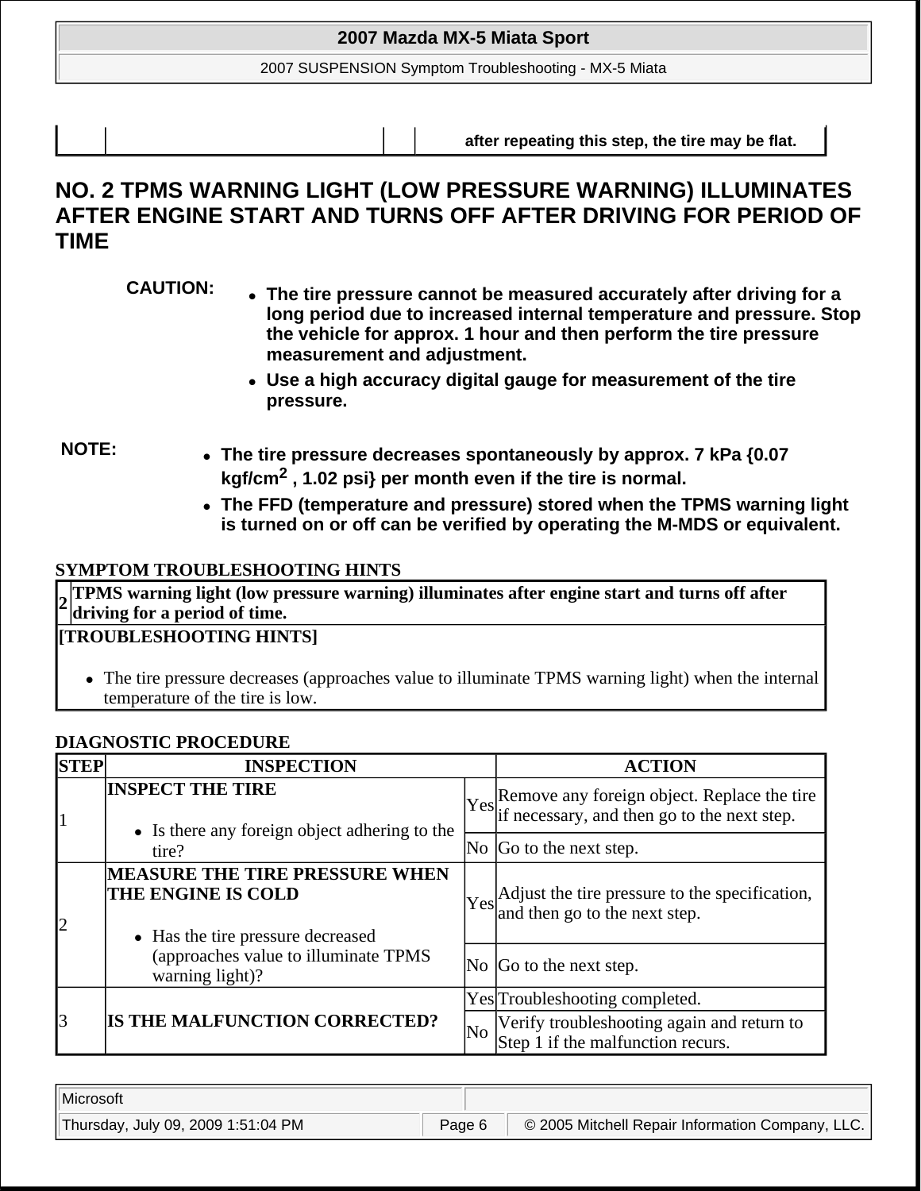2007 SUSPENSION Symptom Troubleshooting - MX-5 Miata

**after repeating this step, the tire may be flat.** 

# **NO. 2 TPMS WARNING LIGHT (LOW PRESSURE WARNING) ILLUMINATES AFTER ENGINE START AND TURNS OFF AFTER DRIVING FOR PERIOD OF TIME**

- **CAUTION: The tire pressure cannot be measured accurately after driving for a long period due to increased internal temperature and pressure. Stop the vehicle for approx. 1 hour and then perform the tire pressure measurement and adjustment.** 
	- **Use a high accuracy digital gauge for measurement of the tire pressure.**

- **NOTE: The tire pressure decreases spontaneously by approx. 7 kPa {0.07 kgf/cm2 , 1.02 psi} per month even if the tire is normal.** 
	- **The FFD (temperature and pressure) stored when the TPMS warning light is turned on or off can be verified by operating the M-MDS or equivalent.**

# **SYMPTOM TROUBLESHOOTING HINTS**

**<sup>2</sup> TPMS warning light (low pressure warning) illuminates after engine start and turns off after driving for a period of time.**

# **[TROUBLESHOOTING HINTS]**

 The tire pressure decreases (approaches value to illuminate TPMS warning light) when the internal temperature of the tire is low.

# **DIAGNOSTIC PROCEDURE**

| <b>STEP</b> | <b>INSPECTION</b>                                                                                |    | <b>ACTION</b>                                                                                  |
|-------------|--------------------------------------------------------------------------------------------------|----|------------------------------------------------------------------------------------------------|
|             | <b>INSPECT THE TIRE</b><br>• Is there any foreign object adhering to the                         |    | Yes Remove any foreign object. Replace the tire<br>if necessary, and then go to the next step. |
|             | tire?                                                                                            |    | No Go to the next step.                                                                        |
|             | <b>MEASURE THE TIRE PRESSURE WHEN</b><br>THE ENGINE IS COLD<br>• Has the tire pressure decreased |    | Yes Adjust the tire pressure to the specification,<br>and then go to the next step.            |
|             | (approaches value to illuminate TPMS<br>warning light)?                                          |    | No Go to the next step.                                                                        |
|             |                                                                                                  |    | Yes Troubleshooting completed.                                                                 |
| 13          | IS THE MALFUNCTION CORRECTED?                                                                    | No | Verify troubleshooting again and return to<br>Step 1 if the malfunction recurs.                |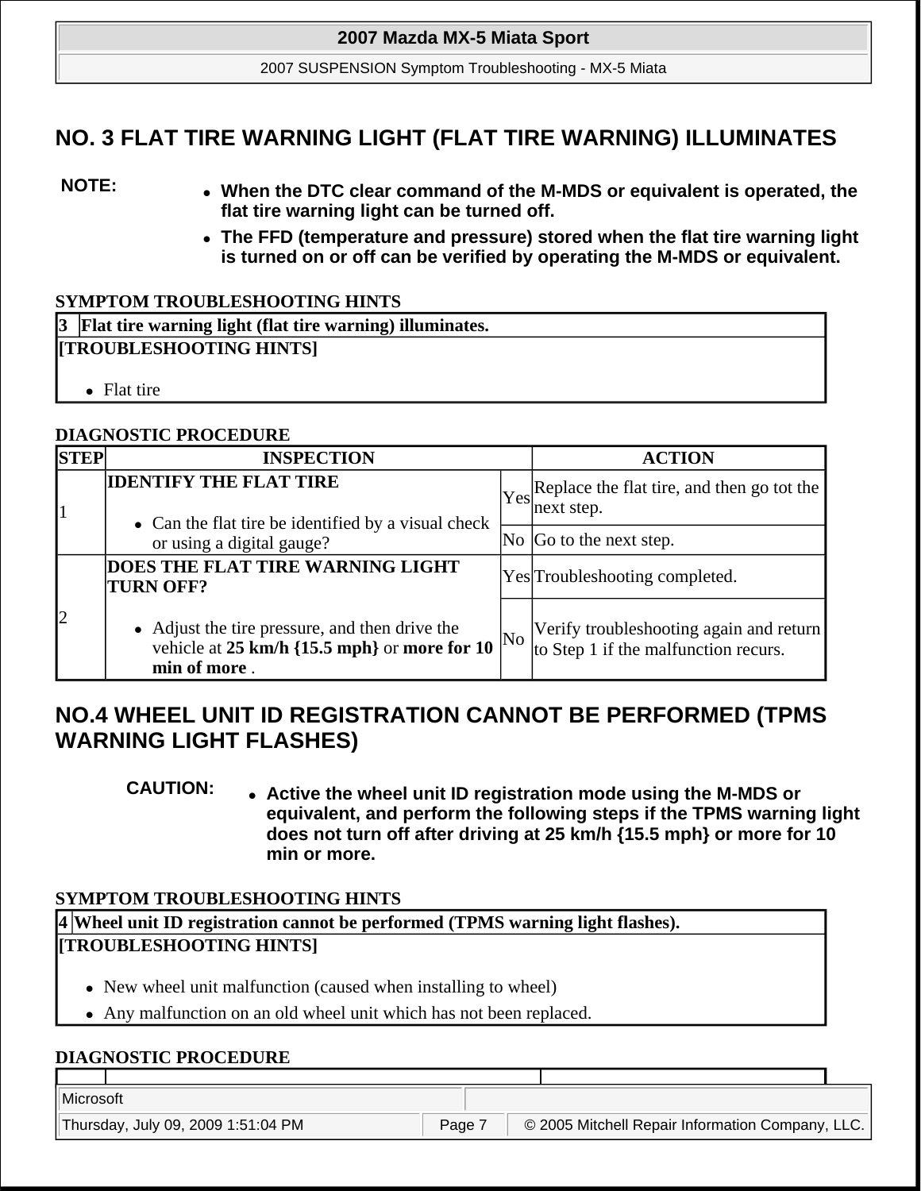2007 SUSPENSION Symptom Troubleshooting - MX-5 Miata

# **NO. 3 FLAT TIRE WARNING LIGHT (FLAT TIRE WARNING) ILLUMINATES**

- **NOTE: When the DTC clear command of the M-MDS or equivalent is operated, the flat tire warning light can be turned off.** 
	- **The FFD (temperature and pressure) stored when the flat tire warning light is turned on or off can be verified by operating the M-MDS or equivalent.**

#### **SYMPTOM TROUBLESHOOTING HINTS**

| 3 Flat tire warning light (flat tire warning) illuminates. |  |  |  |  |
|------------------------------------------------------------|--|--|--|--|
| <b>[TROUBLESHOOTING HINTS]</b>                             |  |  |  |  |
|                                                            |  |  |  |  |
| • Flat tire                                                |  |  |  |  |

## **DIAGNOSTIC PROCEDURE**

| <b>STEP</b> | <b>INSPECTION</b>                                                                                                 |    | <b>ACTION</b>                                                                   |  |
|-------------|-------------------------------------------------------------------------------------------------------------------|----|---------------------------------------------------------------------------------|--|
|             | <b>IDENTIFY THE FLAT TIRE</b><br>• Can the flat tire be identified by a visual check<br>or using a digital gauge? |    | $ Y_{\text{es}} $ Replace the flat tire, and then go tot the<br>next step.      |  |
|             |                                                                                                                   |    | $\overline{N}$ $\overline{G}$ to the next step.                                 |  |
|             | <b>DOES THE FLAT TIRE WARNING LIGHT</b><br><b>TURN OFF?</b>                                                       |    | Yes Troubleshooting completed.                                                  |  |
| $\vert$ 2   | • Adjust the tire pressure, and then drive the<br>vehicle at 25 km/h {15.5 mph} or more for 10<br>min of more.    | No | Verify troubleshooting again and return<br>to Step 1 if the malfunction recurs. |  |

# **NO.4 WHEEL UNIT ID REGISTRATION CANNOT BE PERFORMED (TPMS WARNING LIGHT FLASHES)**

**CAUTION: Active the wheel unit ID registration mode using the M-MDS or equivalent, and perform the following steps if the TPMS warning light does not turn off after driving at 25 km/h {15.5 mph} or more for 10 min or more.** 

# **SYMPTOM TROUBLESHOOTING HINTS**

**4 Wheel unit ID registration cannot be performed (TPMS warning light flashes). [TROUBLESHOOTING HINTS]**

- New wheel unit malfunction (caused when installing to wheel)
- Any malfunction on an old wheel unit which has not been replaced.

#### **DIAGNOSTIC PROCEDURE**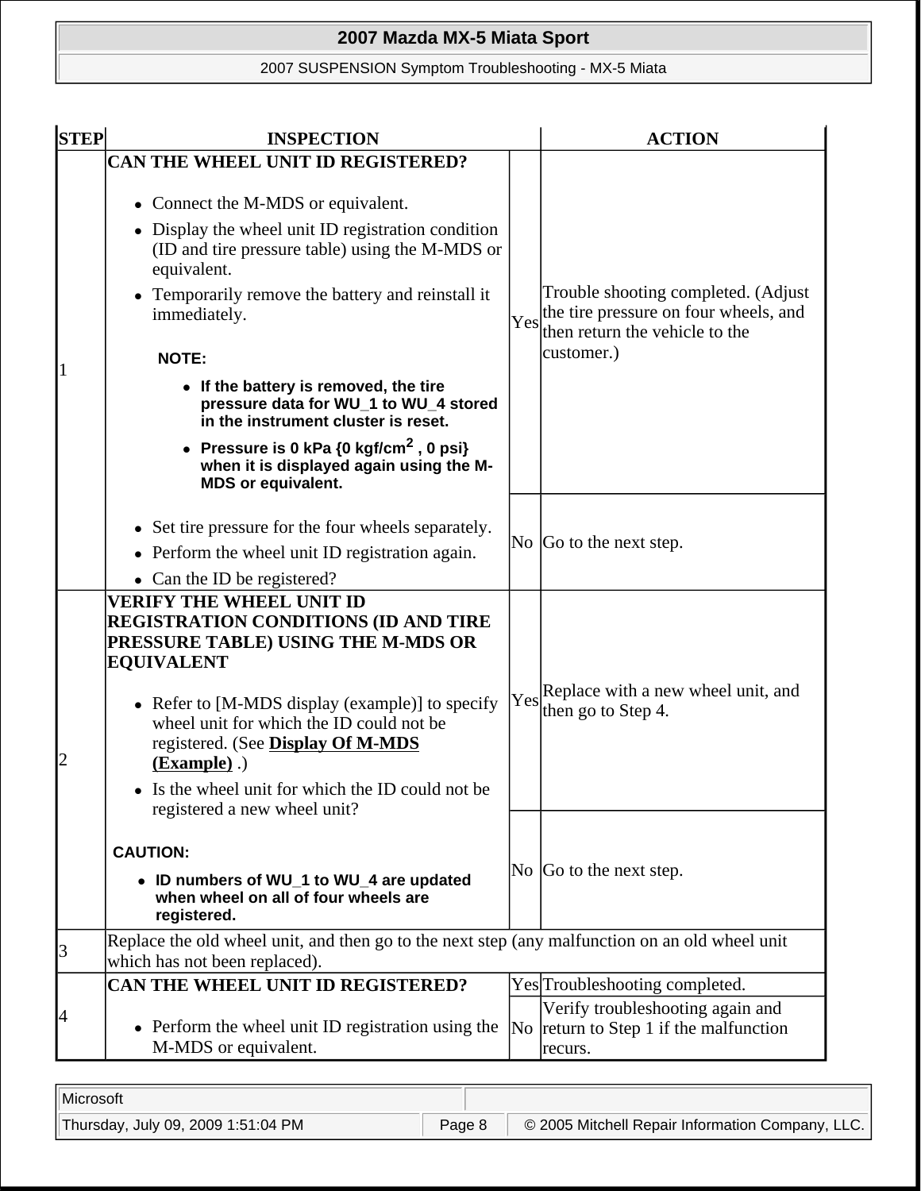# 2007 SUSPENSION Symptom Troubleshooting - MX-5 Miata

| <b>STEP</b> | <b>INSPECTION</b>                                                                                                                                                                                                                                                                                                                                                                                                                                                                                                         | <b>ACTION</b> |                                                                                                                |  |
|-------------|---------------------------------------------------------------------------------------------------------------------------------------------------------------------------------------------------------------------------------------------------------------------------------------------------------------------------------------------------------------------------------------------------------------------------------------------------------------------------------------------------------------------------|---------------|----------------------------------------------------------------------------------------------------------------|--|
|             | CAN THE WHEEL UNIT ID REGISTERED?                                                                                                                                                                                                                                                                                                                                                                                                                                                                                         |               |                                                                                                                |  |
|             | Connect the M-MDS or equivalent.<br>$\bullet$<br>• Display the wheel unit ID registration condition<br>(ID and tire pressure table) using the M-MDS or<br>equivalent.<br>• Temporarily remove the battery and reinstall it<br>immediately.<br>Yes<br><b>NOTE:</b><br>• If the battery is removed, the tire<br>pressure data for WU_1 to WU_4 stored<br>in the instrument cluster is reset.<br>• Pressure is 0 kPa ${0 \text{ kgf/cm}^2}$ , 0 psi}<br>when it is displayed again using the M-<br><b>MDS or equivalent.</b> |               |                                                                                                                |  |
|             |                                                                                                                                                                                                                                                                                                                                                                                                                                                                                                                           |               | Trouble shooting completed. (Adjust<br>the tire pressure on four wheels, and<br>then return the vehicle to the |  |
|             |                                                                                                                                                                                                                                                                                                                                                                                                                                                                                                                           |               | customer.)                                                                                                     |  |
|             |                                                                                                                                                                                                                                                                                                                                                                                                                                                                                                                           |               |                                                                                                                |  |
|             |                                                                                                                                                                                                                                                                                                                                                                                                                                                                                                                           |               |                                                                                                                |  |
|             |                                                                                                                                                                                                                                                                                                                                                                                                                                                                                                                           |               |                                                                                                                |  |
|             | • Set tire pressure for the four wheels separately.<br>• Perform the wheel unit ID registration again.                                                                                                                                                                                                                                                                                                                                                                                                                    |               | $\overline{N}$ $\overline{G}$ to the next step.                                                                |  |
|             | • Can the ID be registered?                                                                                                                                                                                                                                                                                                                                                                                                                                                                                               |               |                                                                                                                |  |
| 2           | <b>VERIFY THE WHEEL UNIT ID</b><br><b>REGISTRATION CONDITIONS (ID AND TIRE</b><br>PRESSURE TABLE) USING THE M-MDS OR<br><b>EQUIVALENT</b><br>• Refer to [M-MDS display (example)] to specify<br>wheel unit for which the ID could not be<br>registered. (See Display Of M-MDS<br>$(Example)$ .)<br>Is the wheel unit for which the ID could not be<br>registered a new wheel unit?                                                                                                                                        | Yes           | Replace with a new wheel unit, and<br>then go to Step 4.                                                       |  |
|             | <b>CAUTION:</b><br>• ID numbers of WU_1 to WU_4 are updated<br>when wheel on all of four wheels are<br>registered.                                                                                                                                                                                                                                                                                                                                                                                                        |               | No $ Go$ to the next step.                                                                                     |  |
| 3           | Replace the old wheel unit, and then go to the next step (any malfunction on an old wheel unit<br>which has not been replaced).                                                                                                                                                                                                                                                                                                                                                                                           |               |                                                                                                                |  |
|             | CAN THE WHEEL UNIT ID REGISTERED?                                                                                                                                                                                                                                                                                                                                                                                                                                                                                         |               | Yes <sup>T</sup> roubleshooting completed.                                                                     |  |
| 4           | • Perform the wheel unit ID registration using the<br>M-MDS or equivalent.                                                                                                                                                                                                                                                                                                                                                                                                                                                |               | Verify troubleshooting again and<br>No return to Step 1 if the malfunction<br>recurs.                          |  |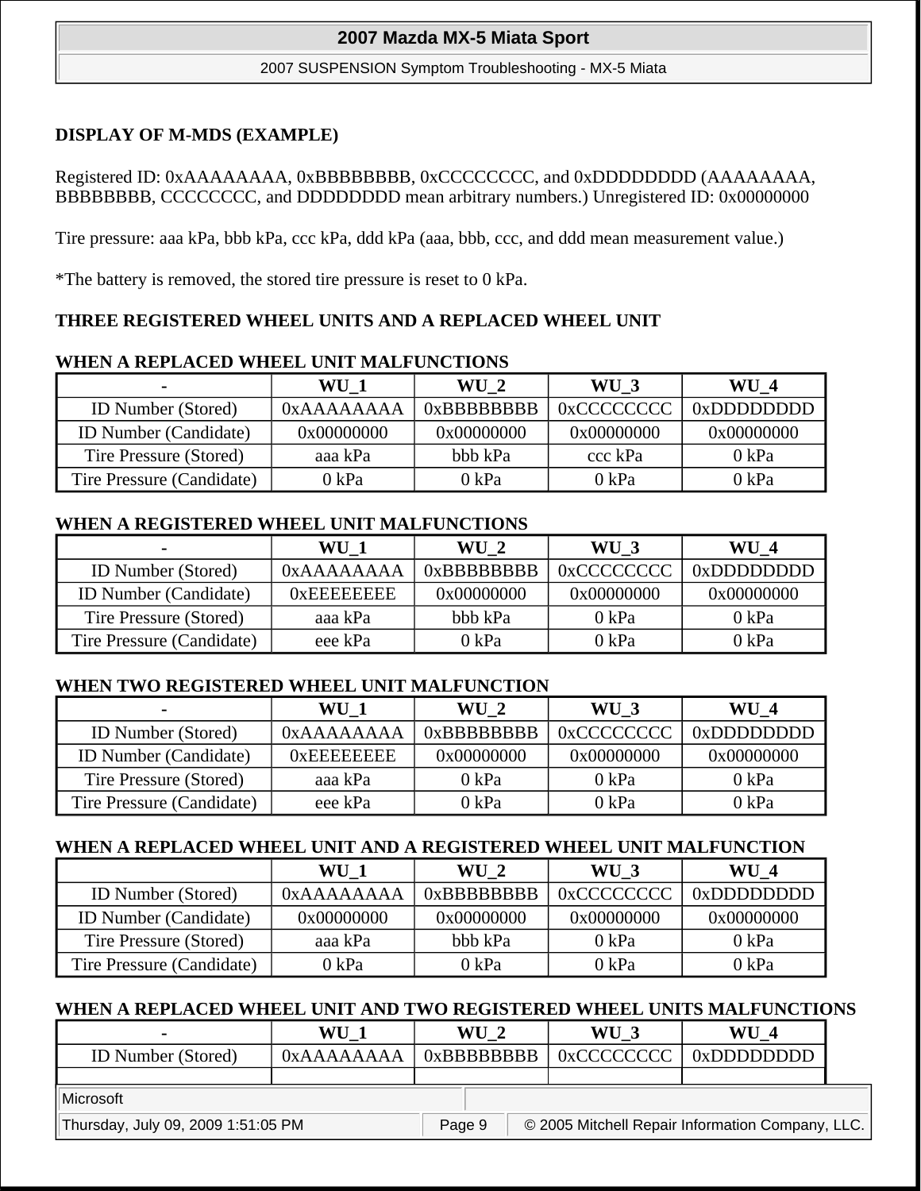#### 2007 SUSPENSION Symptom Troubleshooting - MX-5 Miata

## **DISPLAY OF M-MDS (EXAMPLE)**

### Registered ID: 0xAAAAAAAA, 0xBBBBBBBB, 0xCCCCCCCC, and 0xDDDDDDDD (AAAAAAAA, BBBBBBBB, CCCCCCCC, and DDDDDDDD mean arbitrary numbers.) Unregistered ID: 0x00000000

Tire pressure: aaa kPa, bbb kPa, ccc kPa, ddd kPa (aaa, bbb, ccc, and ddd mean measurement value.)

\*The battery is removed, the stored tire pressure is reset to 0 kPa.

## **THREE REGISTERED WHEEL UNITS AND A REPLACED WHEEL UNIT**

#### **WHEN A REPLACED WHEEL UNIT MALFUNCTIONS**

| $\blacksquare$               | WU 1       | WU 2          | WU 3       | $\bf WU$ 4    |
|------------------------------|------------|---------------|------------|---------------|
| <b>ID</b> Number (Stored)    | 0xAAAAAAAA | $0x$ BBBBBBBB | 0xCCCCCCCC | $0x$ DDDDDDDD |
| <b>ID Number (Candidate)</b> | 0x00000000 | 0x00000000    | 0x00000000 | 0x00000000    |
| Tire Pressure (Stored)       | aaa kPa    | bbb kPa       | ccc kPa    | 0 kPa         |
| Tire Pressure (Candidate)    | 0 kPa      | 0 kPa         | 0 kPa      | 0 kPa         |

#### **WHEN A REGISTERED WHEEL UNIT MALFUNCTIONS**

| $\blacksquare$               | WU 1        | WU 2          | WU 3       | <b>WU 4</b>     |
|------------------------------|-------------|---------------|------------|-----------------|
| <b>ID</b> Number (Stored)    | 0xAAAAAAAA  | $0x$ BBBBBBBB | 0xCCCCCCCC | $0x$ DDDDDDDD   |
| <b>ID</b> Number (Candidate) | 0x EEEEEEEE | 0x00000000    | 0x00000000 | 0x00000000      |
| Tire Pressure (Stored)       | aaa kPa     | bbb kPa       | 0 kPa      | 0 kPa           |
| Tire Pressure (Candidate)    | eee kPa     | 0 kPa         | 0 kPa      | $0 \text{ kPa}$ |

#### **WHEN TWO REGISTERED WHEEL UNIT MALFUNCTION**

|                              | WU 1        | WU 2            | WU 3       | WU 4            |
|------------------------------|-------------|-----------------|------------|-----------------|
| <b>ID</b> Number (Stored)    | 0xAAAAAAAA  | $0x$ BBBBBBBB   | 0xCCCCCCCC | $0x$ DDDDDDDD   |
| <b>ID Number (Candidate)</b> | 0x EEEEEEEE | 0x00000000      | 0x00000000 | 0x00000000      |
| Tire Pressure (Stored)       | aaa kPa     | $0 \text{ kPa}$ | 0 kPa      | $0 \text{ kPa}$ |
| Tire Pressure (Candidate)    | eee kPa     | 0 kPa           | 0 kPa      | 0 kPa           |

## **WHEN A REPLACED WHEEL UNIT AND A REGISTERED WHEEL UNIT MALFUNCTION**

|                              | WU 1       | $WU_2$        | WU 3        | $\bf WU$ 4     |
|------------------------------|------------|---------------|-------------|----------------|
| <b>ID</b> Number (Stored)    | 0xAAAAAAAA | $0x$ RRRRRRRR | 0xCCCCCCCCC | $0x$ DDDDDDDDD |
| <b>ID Number (Candidate)</b> | 0x00000000 | 0x00000000    | 0x00000000  | 0x00000000     |
| Tire Pressure (Stored)       | aaa kPa    | bbb kPa       | 0 kPa       | 0 kPa          |
| Tire Pressure (Candidate)    | 0 kPa      | 0 kPa         | 0 kPa       | 0 kPa          |

#### **WHEN A REPLACED WHEEL UNIT AND TWO REGISTERED WHEEL UNITS MALFUNCTIONS**

|                           | WU         | WU          | WU         | WU          |
|---------------------------|------------|-------------|------------|-------------|
| <b>ID Number (Stored)</b> | 0xAAAAAAAA | 0xBBBBBBBBB | 0xCCCCCCCC | 0xDDDDDDDDD |
|                           |            |             |            |             |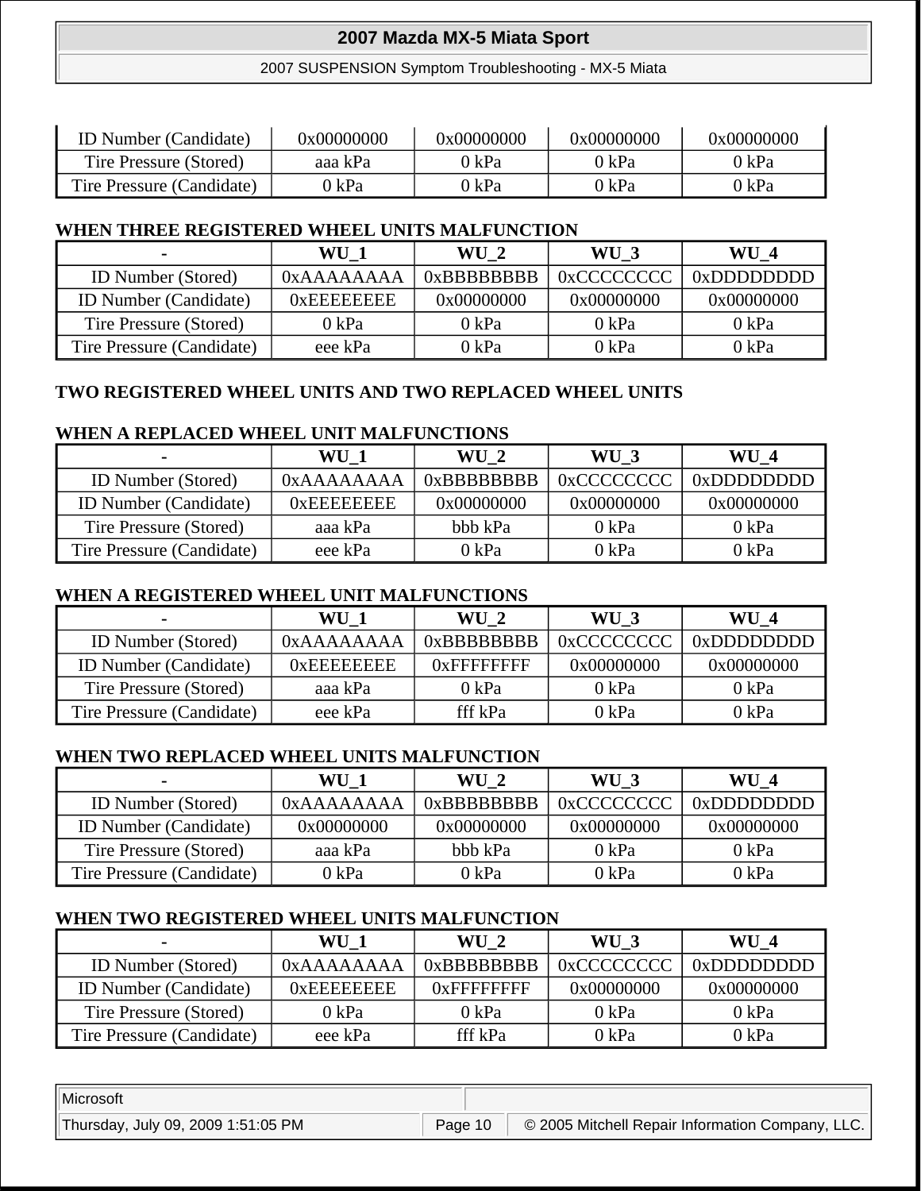#### 2007 SUSPENSION Symptom Troubleshooting - MX-5 Miata

| <b>ID</b> Number (Candidate) | 0x00000000 | 0x00000000 | 0x00000000 | 0x00000000 |
|------------------------------|------------|------------|------------|------------|
| Tire Pressure (Stored)       | aaa kPa    | ) kPa-     | 0 kPa      | 0 kPa      |
| Tire Pressure (Candidate)    | 0 kPa      | ') kPa     | 0 kPa      | 0 kPa      |

#### **WHEN THREE REGISTERED WHEEL UNITS MALFUNCTION**

|                              | WU 1            | WU 2            | WU 3          | WU 4          |
|------------------------------|-----------------|-----------------|---------------|---------------|
| <b>ID</b> Number (Stored)    | 0xAAAAAAAA      | $0x$ BBBBBBBB   | $0x$ CCCCCCCC | $0x$ DDDDDDDD |
| <b>ID Number (Candidate)</b> | $0x$ EEEEEEEE   | 0x00000000      | 0x00000000    | 0x00000000    |
| Tire Pressure (Stored)       | $0 \text{ kPa}$ | $0 \text{ kPa}$ | 0 kPa         | 0 kPa         |
| Tire Pressure (Candidate)    | eee kPa         | 0 kPa           | 0 kPa         | 0 kPa         |

## **TWO REGISTERED WHEEL UNITS AND TWO REPLACED WHEEL UNITS**

#### **WHEN A REPLACED WHEEL UNIT MALFUNCTIONS**

| $\overline{\phantom{0}}$     | WU 1          | $WU_2$          | WU 3        | $\bf WU$ 4    |
|------------------------------|---------------|-----------------|-------------|---------------|
| ID Number (Stored)           | 0xAAAAAAAA    | $0x$ BBBBBBBB   | 0xCCCCCCCCC | $0x$ DDDDDDDD |
| <b>ID Number (Candidate)</b> | $0x$ EEEEEEEE | 0x00000000      | 0x00000000  | 0x00000000    |
| Tire Pressure (Stored)       | aaa kPa       | bbb kPa         | 0 kPa       | 0 kPa         |
| Tire Pressure (Candidate)    | eee kPa       | $0 \text{ kPa}$ | 0 kPa       | 0 kPa         |

#### **WHEN A REGISTERED WHEEL UNIT MALFUNCTIONS**

| $\blacksquare$               | WU 1       | WU <sub>2</sub> | WU 3       | <b>WU 4</b>   |
|------------------------------|------------|-----------------|------------|---------------|
| <b>ID Number (Stored)</b>    | 0xAAAAAAAA | $0x$ BBBBBBBB   | 0xCCCCCCCC | $0x$ DDDDDDDD |
| <b>ID Number (Candidate)</b> | 0xEEEEEEEE | $0x$ FFFFFFFFF  | 0x00000000 | 0x00000000    |
| Tire Pressure (Stored)       | aaa kPa    | $0 \text{ kPa}$ | 0 kPa      | 0 kPa         |
| Tire Pressure (Candidate)    | eee kPa    | fff kPa         | 0 kPa      | 0 kPa         |

#### **WHEN TWO REPLACED WHEEL UNITS MALFUNCTION**

| $\blacksquare$               | WU 1       | $\bf WU$ 2    | WU 3        | $WU_4$        |
|------------------------------|------------|---------------|-------------|---------------|
| <b>ID</b> Number (Stored)    | 0xAAAAAAAA | $0x$ BBBBBBBB | 0xCCCCCCCCC | $0x$ DDDDDDDD |
| <b>ID Number (Candidate)</b> | 0x00000000 | 0x00000000    | 0x00000000  | 0x00000000    |
| Tire Pressure (Stored)       | aaa kPa    | bbb kPa       | 0 kPa       | 0 kPa         |
| Tire Pressure (Candidate)    | 0 kPa      | 0 kPa         | 0 kPa       | 0 kPa         |

# **WHEN TWO REGISTERED WHEEL UNITS MALFUNCTION**

|                              | WU 1        | $WU_2$          | WU 3       | $\bf WU$ 4      |
|------------------------------|-------------|-----------------|------------|-----------------|
| <b>ID Number (Stored)</b>    | 0xAAAAAAAA  | $0x$ BBBBBBBB   | 0xCCCCCCCC | $0x$ DDDDDDDD   |
| <b>ID Number (Candidate)</b> | 0xEEEEEEEEE | $0x$ FFFFFFFFF  | 0x00000000 | 0x00000000      |
| Tire Pressure (Stored)       | 0 kPa       | $0 \text{ kPa}$ | 0 kPa      | 0 kPa           |
| Tire Pressure (Candidate)    | eee kPa     | fff kPa         | 0 kPa      | $0 \text{ kPa}$ |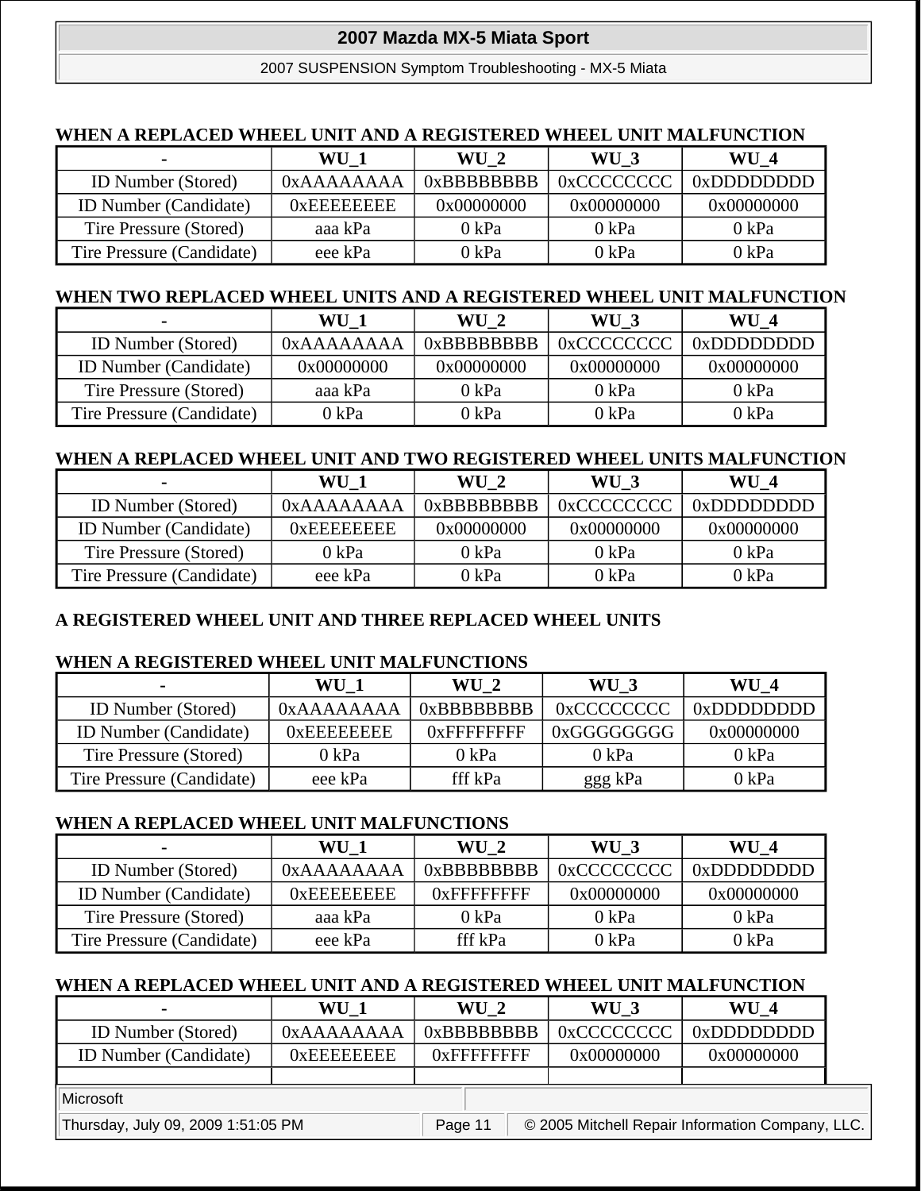2007 SUSPENSION Symptom Troubleshooting - MX-5 Miata

#### **WHEN A REPLACED WHEEL UNIT AND A REGISTERED WHEEL UNIT MALFUNCTION**

| $\blacksquare$               | WU 1       | $WU_2$          | WU 3       | <b>WU4</b>      |
|------------------------------|------------|-----------------|------------|-----------------|
| ID Number (Stored)           | 0xAAAAAAAA | $0x$ BBBBBBBB   | 0xCCCCCCCC | $0x$ DDDDDDDD   |
| <b>ID Number (Candidate)</b> | 0xEEEEEEE  | 0x00000000      | 0x00000000 | 0x00000000      |
| Tire Pressure (Stored)       | aaa kPa    | $0 \text{ kPa}$ | 0 kPa      | 0 kPa           |
| Tire Pressure (Candidate)    | eee kPa    | 0 kPa           | 0 kPa      | $0 \text{ kPa}$ |

#### **WHEN TWO REPLACED WHEEL UNITS AND A REGISTERED WHEEL UNIT MALFUNCTION**

| $\blacksquare$               | WU 1       | $WU_2$          | WU 3       | WU 4          |
|------------------------------|------------|-----------------|------------|---------------|
| <b>ID</b> Number (Stored)    | 0xAAAAAAAA | $0x$ BBBBBBBB   | 0xCCCCCCCC | $0x$ DDDDDDDD |
| <b>ID Number (Candidate)</b> | 0x00000000 | 0x00000000      | 0x00000000 | 0x00000000    |
| Tire Pressure (Stored)       | aaa kPa    | $0 \text{ kPa}$ | 0 kPa      | 0 kPa         |
| Tire Pressure (Candidate)    | 0 kPa      | 0 kPa           | 0 kPa      | 0 kPa         |

#### **WHEN A REPLACED WHEEL UNIT AND TWO REGISTERED WHEEL UNITS MALFUNCTION**

| $\blacksquare$               | WU 1            | WU 2            | WU 3            | WU 4            |
|------------------------------|-----------------|-----------------|-----------------|-----------------|
| <b>ID</b> Number (Stored)    | 0xAAAAAAAA      | $0x$ BBBBBBBB   | 0xCCCCCCCC      | $0x$ DDDDDDD    |
| <b>ID Number (Candidate)</b> | $0x$ EEEEEEEE   | 0x00000000      | 0x00000000      | 0x00000000      |
| Tire Pressure (Stored)       | $0 \text{ kPa}$ | $0 \text{ kPa}$ | $0 \text{ kPa}$ | $0 \text{ kPa}$ |
| Tire Pressure (Candidate)    | eee kPa         | 0 kPa           | 0 kPa           | 0 kPa           |

#### **A REGISTERED WHEEL UNIT AND THREE REPLACED WHEEL UNITS**

#### **WHEN A REGISTERED WHEEL UNIT MALFUNCTIONS**

| $\blacksquare$               | WU 1          | WU 2            | WU 3        | $\mathbf{W} \mathbf{U}$ 4 |
|------------------------------|---------------|-----------------|-------------|---------------------------|
| <b>ID</b> Number (Stored)    | 0xAAAAAAAA    | $0x$ BBBBBBBB   | 0xCCCCCCCCC | 0xDDDDDDDD                |
| <b>ID Number (Candidate)</b> | $0x$ EEEEEEEE | $0x$ FFFFFFFFF  | 0xGGGGGGGGG | 0x00000000                |
| Tire Pressure (Stored)       | 0 kPa         | $0 \text{ kPa}$ | 0 kPa       | 0 kPa                     |
| Tire Pressure (Candidate)    | eee kPa       | fff kPa         | ggg kPa     | 0 kPa                     |

#### **WHEN A REPLACED WHEEL UNIT MALFUNCTIONS**

| $\overline{\phantom{0}}$     | WU 1          | $WU_2$          | WU 3        | $WU_4$        |
|------------------------------|---------------|-----------------|-------------|---------------|
| <b>ID</b> Number (Stored)    | 0xAAAAAAAA    | $0x$ BBBBBBBB   | 0xCCCCCCCCC | $0x$ DDDDDDDD |
| <b>ID</b> Number (Candidate) | $0x$ EEEEEEEE | $0x$ FFFFFFFFF  | 0x00000000  | 0x00000000    |
| Tire Pressure (Stored)       | aaa kPa       | $0 \text{ kPa}$ | 0 kPa       | 0 kPa         |
| Tire Pressure (Candidate)    | eee kPa       | fff kPa         | 0 kPa       | 0 kPa         |

#### **WHEN A REPLACED WHEEL UNIT AND A REGISTERED WHEEL UNIT MALFUNCTION**

|                              | WU            | $WU_2$         | WU         | WU 4       |
|------------------------------|---------------|----------------|------------|------------|
| ID Number (Stored)           | 0xAAAAAAAA    | $0x$ BBBBBBBB  | 0xCCCCCCCC | 0xDDDDDDDD |
| <b>ID Number (Candidate)</b> | $0x$ EEEEEEEE | $0x$ FFFFFFFFF | 0x00000000 | 0x00000000 |
|                              |               |                |            |            |